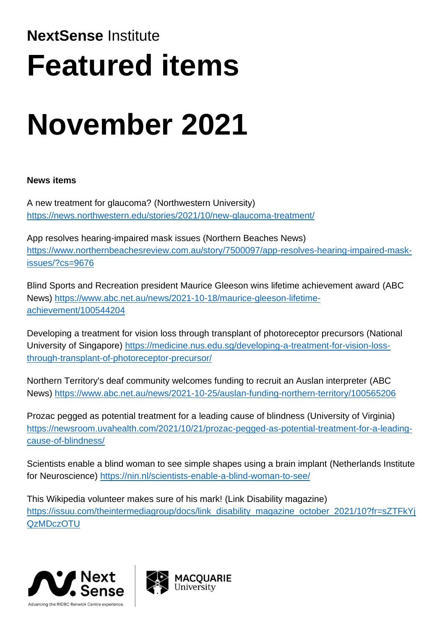# **NextSense** Institute **Featured items**

# **November 2021**

## **News items**

A new treatment for glaucoma? (Northwestern University) <https://news.northwestern.edu/stories/2021/10/new-glaucoma-treatment/>

App resolves hearing-impaired mask issues (Northern Beaches News) [https://www.northernbeachesreview.com.au/story/7500097/app-resolves-hearing-impaired-mask](https://www.northernbeachesreview.com.au/story/7500097/app-resolves-hearing-impaired-mask-issues/?cs=9676)[issues/?cs=9676](https://www.northernbeachesreview.com.au/story/7500097/app-resolves-hearing-impaired-mask-issues/?cs=9676)

Blind Sports and Recreation president Maurice Gleeson wins lifetime achievement award (ABC News) [https://www.abc.net.au/news/2021-10-18/maurice-gleeson-lifetime](https://www.abc.net.au/news/2021-10-18/maurice-gleeson-lifetime-achievement/100544204)[achievement/100544204](https://www.abc.net.au/news/2021-10-18/maurice-gleeson-lifetime-achievement/100544204)

Developing a treatment for vision loss through transplant of photoreceptor precursors (National University of Singapore) [https://medicine.nus.edu.sg/developing-a-treatment-for-vision-loss](https://medicine.nus.edu.sg/developing-a-treatment-for-vision-loss-through-transplant-of-photoreceptor-precursor/)[through-transplant-of-photoreceptor-precursor/](https://medicine.nus.edu.sg/developing-a-treatment-for-vision-loss-through-transplant-of-photoreceptor-precursor/)

Northern Territory's deaf community welcomes funding to recruit an Auslan interpreter (ABC News)<https://www.abc.net.au/news/2021-10-25/auslan-funding-northern-territory/100565206>

Prozac pegged as potential treatment for a leading cause of blindness (University of Virginia) [https://newsroom.uvahealth.com/2021/10/21/prozac-pegged-as-potential-treatment-for-a-leading](https://newsroom.uvahealth.com/2021/10/21/prozac-pegged-as-potential-treatment-for-a-leading-cause-of-blindness/)[cause-of-blindness/](https://newsroom.uvahealth.com/2021/10/21/prozac-pegged-as-potential-treatment-for-a-leading-cause-of-blindness/)

Scientists enable a blind woman to see simple shapes using a brain implant (Netherlands Institute for Neuroscience)<https://nin.nl/scientists-enable-a-blind-woman-to-see/>

This Wikipedia volunteer makes sure of his mark! (Link Disability magazine) https://issuu.com/theintermediagroup/docs/link\_disability\_magazine\_october\_2021/10?fr=sZTFkYi [QzMDczOTU](https://issuu.com/theintermediagroup/docs/link_disability_magazine_october_2021/10?fr=sZTFkYjQzMDczOTU)



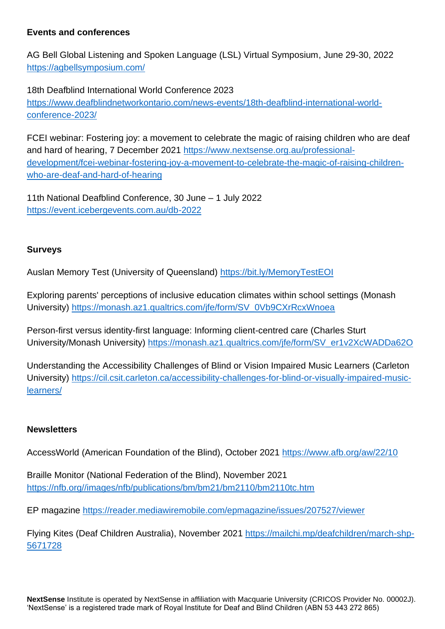#### **Events and conferences**

AG Bell Global Listening and Spoken Language (LSL) Virtual Symposium, June 29-30, 2022 <https://agbellsymposium.com/>

18th Deafblind International World Conference 2023 [https://www.deafblindnetworkontario.com/news-events/18th-deafblind-international-world](https://www.deafblindnetworkontario.com/news-events/18th-deafblind-international-world-conference-2023/)[conference-2023/](https://www.deafblindnetworkontario.com/news-events/18th-deafblind-international-world-conference-2023/)

FCEI webinar: Fostering joy: a movement to celebrate the magic of raising children who are deaf and hard of hearing, 7 December 2021 [https://www.nextsense.org.au/professional](https://www.nextsense.org.au/professional-development/fcei-webinar-fostering-joy-a-movement-to-celebrate-the-magic-of-raising-children-who-are-deaf-and-hard-of-hearing)[development/fcei-webinar-fostering-joy-a-movement-to-celebrate-the-magic-of-raising-children](https://www.nextsense.org.au/professional-development/fcei-webinar-fostering-joy-a-movement-to-celebrate-the-magic-of-raising-children-who-are-deaf-and-hard-of-hearing)[who-are-deaf-and-hard-of-hearing](https://www.nextsense.org.au/professional-development/fcei-webinar-fostering-joy-a-movement-to-celebrate-the-magic-of-raising-children-who-are-deaf-and-hard-of-hearing)

11th National Deafblind Conference, 30 June – 1 July 2022 <https://event.icebergevents.com.au/db-2022>

#### **Surveys**

Auslan Memory Test (University of Queensland)<https://bit.ly/MemoryTestEOI>

Exploring parents' perceptions of inclusive education climates within school settings (Monash University) [https://monash.az1.qualtrics.com/jfe/form/SV\\_0Vb9CXrRcxWnoea](https://monash.az1.qualtrics.com/jfe/form/SV_0Vb9CXrRcxWnoea)

Person-first versus identity-first language: Informing client-centred care (Charles Sturt University/Monash University) [https://monash.az1.qualtrics.com/jfe/form/SV\\_er1v2XcWADDa62O](https://monash.az1.qualtrics.com/jfe/form/SV_er1v2XcWADDa62O)

Understanding the Accessibility Challenges of Blind or Vision Impaired Music Learners (Carleton University) [https://cil.csit.carleton.ca/accessibility-challenges-for-blind-or-visually-impaired-music](https://cil.csit.carleton.ca/accessibility-challenges-for-blind-or-visually-impaired-music-learners/)[learners/](https://cil.csit.carleton.ca/accessibility-challenges-for-blind-or-visually-impaired-music-learners/)

#### **Newsletters**

AccessWorld (American Foundation of the Blind), October 2021<https://www.afb.org/aw/22/10>

Braille Monitor (National Federation of the Blind), November 2021 [https://nfb.org//images/nfb/publications/bm/bm21/bm2110/bm2110tc.htm](https://nfb.org/images/nfb/publications/bm/bm21/bm2110/bm2110tc.htm)

EP magazine <https://reader.mediawiremobile.com/epmagazine/issues/207527/viewer>

Flying Kites (Deaf Children Australia), November 2021 [https://mailchi.mp/deafchildren/march-shp-](https://mailchi.mp/deafchildren/march-shp-5671728)[5671728](https://mailchi.mp/deafchildren/march-shp-5671728)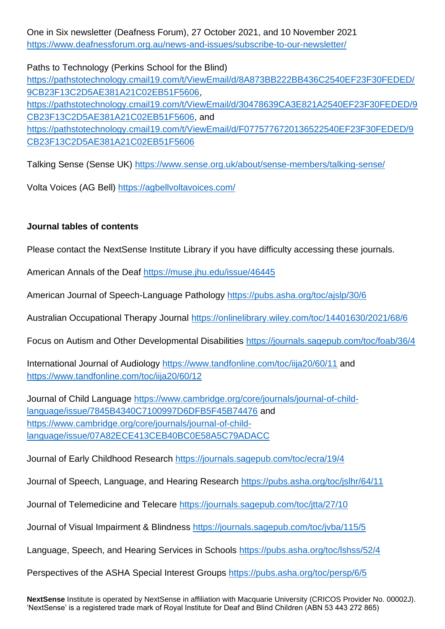One in Six newsletter (Deafness Forum), 27 October 2021, and 10 November 2021 <https://www.deafnessforum.org.au/news-and-issues/subscribe-to-our-newsletter/>

Paths to Technology (Perkins School for the Blind) [https://pathstotechnology.cmail19.com/t/ViewEmail/d/8A873BB222BB436C2540EF23F30FEDED/](https://pathstotechnology.cmail19.com/t/ViewEmail/d/8A873BB222BB436C2540EF23F30FEDED/9CB23F13C2D5AE381A21C02EB51F5606) [9CB23F13C2D5AE381A21C02EB51F5606,](https://pathstotechnology.cmail19.com/t/ViewEmail/d/8A873BB222BB436C2540EF23F30FEDED/9CB23F13C2D5AE381A21C02EB51F5606) [https://pathstotechnology.cmail19.com/t/ViewEmail/d/30478639CA3E821A2540EF23F30FEDED/9](https://pathstotechnology.cmail19.com/t/ViewEmail/d/30478639CA3E821A2540EF23F30FEDED/9CB23F13C2D5AE381A21C02EB51F5606) [CB23F13C2D5AE381A21C02EB51F5606,](https://pathstotechnology.cmail19.com/t/ViewEmail/d/30478639CA3E821A2540EF23F30FEDED/9CB23F13C2D5AE381A21C02EB51F5606) and [https://pathstotechnology.cmail19.com/t/ViewEmail/d/F0775776720136522540EF23F30FEDED/9](https://pathstotechnology.cmail19.com/t/ViewEmail/d/F0775776720136522540EF23F30FEDED/9CB23F13C2D5AE381A21C02EB51F5606) [CB23F13C2D5AE381A21C02EB51F5606](https://pathstotechnology.cmail19.com/t/ViewEmail/d/F0775776720136522540EF23F30FEDED/9CB23F13C2D5AE381A21C02EB51F5606)

Talking Sense (Sense UK)<https://www.sense.org.uk/about/sense-members/talking-sense/>

Volta Voices (AG Bell) <https://agbellvoltavoices.com/>

#### **Journal tables of contents**

Please contact the NextSense Institute Library if you have difficulty accessing these journals.

American Annals of the Deaf <https://muse.jhu.edu/issue/46445>

American Journal of Speech-Language Pathology <https://pubs.asha.org/toc/ajslp/30/6>

Australian Occupational Therapy Journal <https://onlinelibrary.wiley.com/toc/14401630/2021/68/6>

Focus on Autism and Other Developmental Disabilities <https://journals.sagepub.com/toc/foab/36/4>

International Journal of Audiology <https://www.tandfonline.com/toc/iija20/60/11> and <https://www.tandfonline.com/toc/iija20/60/12>

Journal of Child Language [https://www.cambridge.org/core/journals/journal-of-child](https://www.cambridge.org/core/journals/journal-of-child-language/issue/7845B4340C7100997D6DFB5F45B74476)[language/issue/7845B4340C7100997D6DFB5F45B74476](https://www.cambridge.org/core/journals/journal-of-child-language/issue/7845B4340C7100997D6DFB5F45B74476) and [https://www.cambridge.org/core/journals/journal-of-child](https://www.cambridge.org/core/journals/journal-of-child-language/issue/07A82ECE413CEB40BC0E58A5C79ADACC)[language/issue/07A82ECE413CEB40BC0E58A5C79ADACC](https://www.cambridge.org/core/journals/journal-of-child-language/issue/07A82ECE413CEB40BC0E58A5C79ADACC)

Journal of Early Childhood Research <https://journals.sagepub.com/toc/ecra/19/4>

Journal of Speech, Language, and Hearing Research <https://pubs.asha.org/toc/jslhr/64/11>

Journal of Telemedicine and Telecare <https://journals.sagepub.com/toc/jtta/27/10>

Journal of Visual Impairment & Blindness <https://journals.sagepub.com/toc/jvba/115/5>

Language, Speech, and Hearing Services in Schools <https://pubs.asha.org/toc/lshss/52/4>

Perspectives of the ASHA Special Interest Groups <https://pubs.asha.org/toc/persp/6/5>